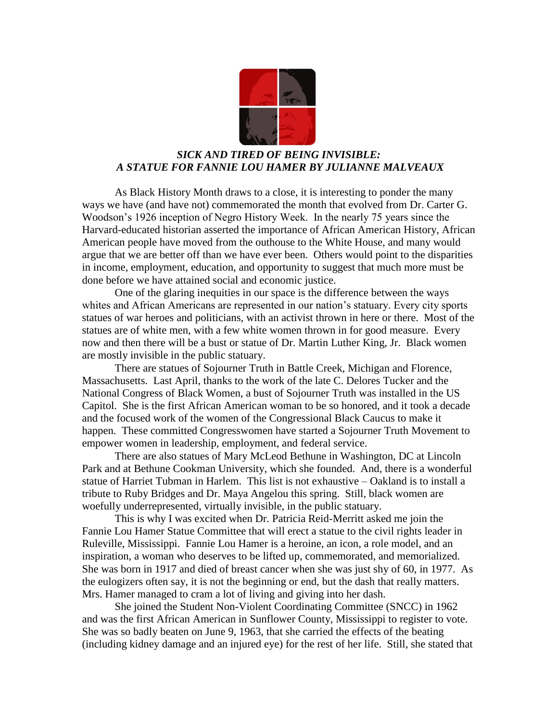

## *SICK AND TIRED OF BEING INVISIBLE: A STATUE FOR FANNIE LOU HAMER BY JULIANNE MALVEAUX*

As Black History Month draws to a close, it is interesting to ponder the many ways we have (and have not) commemorated the month that evolved from Dr. Carter G. Woodson's 1926 inception of Negro History Week. In the nearly 75 years since the Harvard-educated historian asserted the importance of African American History, African American people have moved from the outhouse to the White House, and many would argue that we are better off than we have ever been. Others would point to the disparities in income, employment, education, and opportunity to suggest that much more must be done before we have attained social and economic justice.

One of the glaring inequities in our space is the difference between the ways whites and African Americans are represented in our nation's statuary. Every city sports statues of war heroes and politicians, with an activist thrown in here or there. Most of the statues are of white men, with a few white women thrown in for good measure. Every now and then there will be a bust or statue of Dr. Martin Luther King, Jr. Black women are mostly invisible in the public statuary.

There are statues of Sojourner Truth in Battle Creek, Michigan and Florence, Massachusetts. Last April, thanks to the work of the late C. Delores Tucker and the National Congress of Black Women, a bust of Sojourner Truth was installed in the US Capitol. She is the first African American woman to be so honored, and it took a decade and the focused work of the women of the Congressional Black Caucus to make it happen. These committed Congresswomen have started a Sojourner Truth Movement to empower women in leadership, employment, and federal service.

There are also statues of Mary McLeod Bethune in Washington, DC at Lincoln Park and at Bethune Cookman University, which she founded. And, there is a wonderful statue of Harriet Tubman in Harlem. This list is not exhaustive – Oakland is to install a tribute to Ruby Bridges and Dr. Maya Angelou this spring. Still, black women are woefully underrepresented, virtually invisible, in the public statuary.

This is why I was excited when Dr. Patricia Reid-Merritt asked me join the Fannie Lou Hamer Statue Committee that will erect a statue to the civil rights leader in Ruleville, Mississippi. Fannie Lou Hamer is a heroine, an icon, a role model, and an inspiration, a woman who deserves to be lifted up, commemorated, and memorialized. She was born in 1917 and died of breast cancer when she was just shy of 60, in 1977. As the eulogizers often say, it is not the beginning or end, but the dash that really matters. Mrs. Hamer managed to cram a lot of living and giving into her dash.

She joined the Student Non-Violent Coordinating Committee (SNCC) in 1962 and was the first African American in Sunflower County, Mississippi to register to vote. She was so badly beaten on June 9, 1963, that she carried the effects of the beating (including kidney damage and an injured eye) for the rest of her life. Still, she stated that